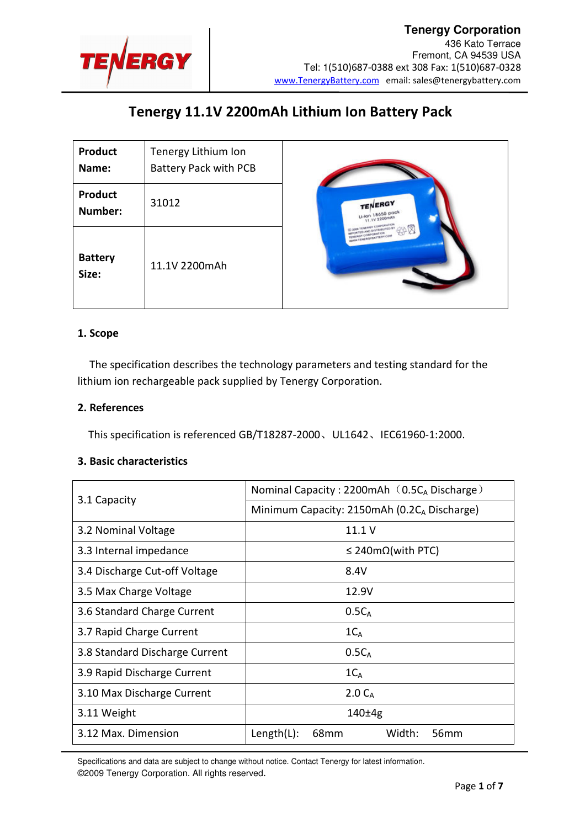

# Tenergy 11.1V 2200mAh Lithium Ion Battery Pack

| <b>Product</b><br>Name:   | Tenergy Lithium Ion<br><b>Battery Pack with PCB</b> |                                                                     |
|---------------------------|-----------------------------------------------------|---------------------------------------------------------------------|
| <b>Product</b><br>Number: | 31012                                               | TENERGY<br>Li-lon 18650 pack<br>11.1V 2200mAh                       |
| <b>Battery</b><br>Size:   | 11.1V 2200mAh                                       | MEORTED AND OISTRIBUTED B<br>CORPORATION<br><b>SERGYBATTERY COM</b> |

### 1. Scope

The specification describes the technology parameters and testing standard for the lithium ion rechargeable pack supplied by Tenergy Corporation.

#### 2. References

This specification is referenced GB/T18287-2000、UL1642、IEC61960-1:2000.

### 3. Basic characteristics

| 3.1 Capacity                   | Nominal Capacity: 2200mAh $(0.5C_A$ Discharge)   |  |  |
|--------------------------------|--------------------------------------------------|--|--|
|                                | Minimum Capacity: 2150mAh (0.2CA Discharge)      |  |  |
| 3.2 Nominal Voltage            | 11.1V                                            |  |  |
| 3.3 Internal impedance         | $\leq$ 240m $\Omega$ (with PTC)                  |  |  |
| 3.4 Discharge Cut-off Voltage  | 8.4V                                             |  |  |
| 3.5 Max Charge Voltage         | 12.9V                                            |  |  |
| 3.6 Standard Charge Current    | $0.5C_A$                                         |  |  |
| 3.7 Rapid Charge Current       | $1C_A$                                           |  |  |
| 3.8 Standard Discharge Current | $0.5C_A$                                         |  |  |
| 3.9 Rapid Discharge Current    | $1C_A$                                           |  |  |
| 3.10 Max Discharge Current     | 2.0 C <sub>A</sub>                               |  |  |
| 3.11 Weight                    | $140 \pm 4g$                                     |  |  |
| 3.12 Max. Dimension            | 56 <sub>mm</sub><br>68mm<br>Width:<br>Length(L): |  |  |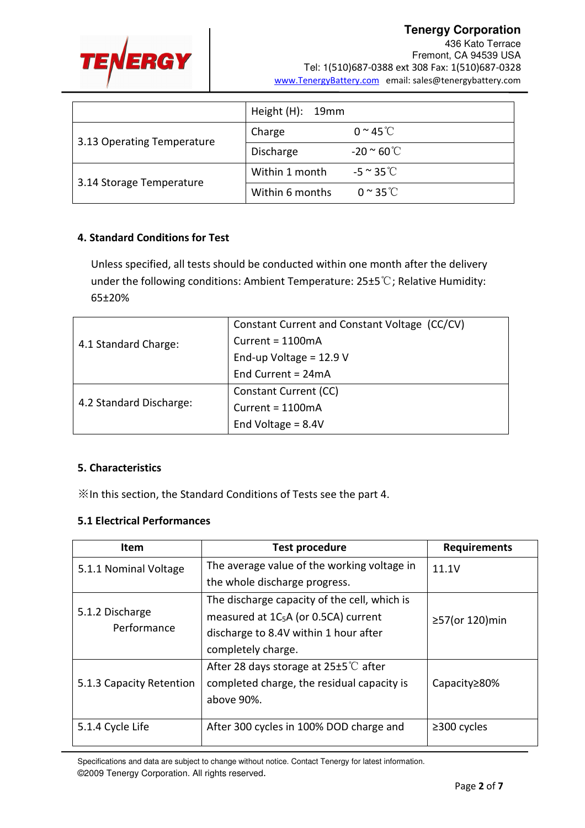

**Tenergy Corporation**  436 Kato Terrace Fremont, CA 94539 USA Tel: 1(510)687-0388 ext 308 Fax: 1(510)687-0328 www.TenergyBattery.com email: sales@tenergybattery.com

|                            | Height (H): 19mm |                                |
|----------------------------|------------------|--------------------------------|
| 3.13 Operating Temperature | Charge           | $0 \approx 45$ °C              |
|                            | Discharge        | -20 $^{\circ}$ 60 $^{\circ}$ C |
| 3.14 Storage Temperature   | Within 1 month   | $-5 \approx 35^{\circ}$ C      |
|                            | Within 6 months  | $0 \sim 35$ °C                 |

## 4. Standard Conditions for Test

Unless specified, all tests should be conducted within one month after the delivery under the following conditions: Ambient Temperature: 25±5℃; Relative Humidity: 65±20%

|                         | Constant Current and Constant Voltage (CC/CV) |  |
|-------------------------|-----------------------------------------------|--|
| 4.1 Standard Charge:    | Current = $1100mA$                            |  |
|                         | End-up Voltage = $12.9$ V                     |  |
|                         | End Current = $24mA$                          |  |
|                         | Constant Current (CC)                         |  |
| 4.2 Standard Discharge: | Current = $1100mA$                            |  |
|                         | End Voltage = $8.4V$                          |  |

## 5. Characteristics

※In this section, the Standard Conditions of Tests see the part 4.

## 5.1 Electrical Performances

| <b>Item</b>              | <b>Test procedure</b>                           | <b>Requirements</b>  |  |
|--------------------------|-------------------------------------------------|----------------------|--|
| 5.1.1 Nominal Voltage    | The average value of the working voltage in     | 11.1V                |  |
|                          | the whole discharge progress.                   |                      |  |
|                          | The discharge capacity of the cell, which is    |                      |  |
| 5.1.2 Discharge          | measured at $1C_5A$ (or 0.5CA) current          | $\geq$ 57(or 120)min |  |
| Performance              | discharge to 8.4V within 1 hour after           |                      |  |
|                          | completely charge.                              |                      |  |
|                          | After 28 days storage at $25\pm5^{\circ}$ after |                      |  |
| 5.1.3 Capacity Retention | completed charge, the residual capacity is      | Capacity≥80%         |  |
|                          | above 90%.                                      |                      |  |
|                          |                                                 |                      |  |
| 5.1.4 Cycle Life         | After 300 cycles in 100% DOD charge and         | $\geq$ 300 cycles    |  |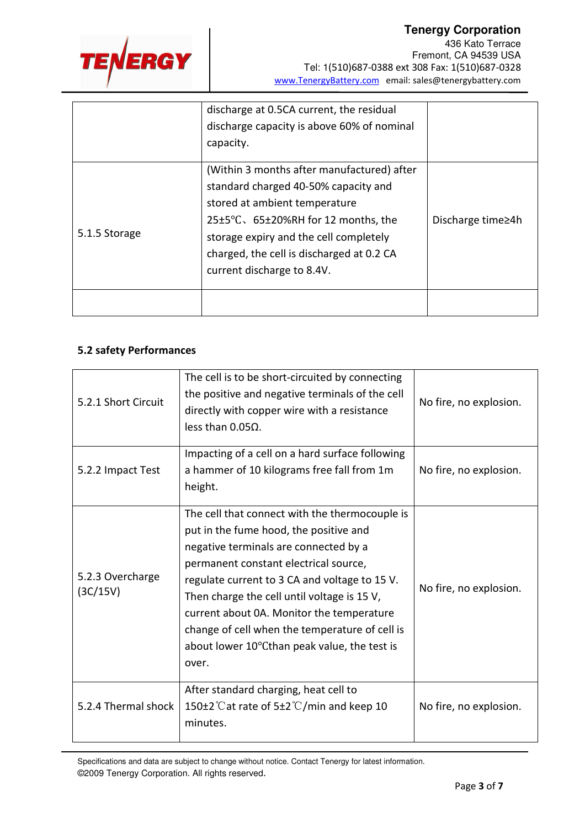

|               | discharge at 0.5CA current, the residual<br>discharge capacity is above 60% of nominal<br>capacity.                                                                                                                                                                             |                   |
|---------------|---------------------------------------------------------------------------------------------------------------------------------------------------------------------------------------------------------------------------------------------------------------------------------|-------------------|
| 5.1.5 Storage | (Within 3 months after manufactured) after<br>standard charged 40-50% capacity and<br>stored at ambient temperature<br>25±5°C, 65±20%RH for 12 months, the<br>storage expiry and the cell completely<br>charged, the cell is discharged at 0.2 CA<br>current discharge to 8.4V. | Discharge time≥4h |
|               |                                                                                                                                                                                                                                                                                 |                   |

## 5.2 safety Performances

| 5.2.1 Short Circuit          | The cell is to be short-circuited by connecting<br>the positive and negative terminals of the cell<br>directly with copper wire with a resistance<br>less than $0.05Ω$ .                                                                                                                                                                                                                                                           | No fire, no explosion. |
|------------------------------|------------------------------------------------------------------------------------------------------------------------------------------------------------------------------------------------------------------------------------------------------------------------------------------------------------------------------------------------------------------------------------------------------------------------------------|------------------------|
| 5.2.2 Impact Test            | Impacting of a cell on a hard surface following<br>a hammer of 10 kilograms free fall from 1m<br>height.                                                                                                                                                                                                                                                                                                                           | No fire, no explosion. |
| 5.2.3 Overcharge<br>(3C/15V) | The cell that connect with the thermocouple is<br>put in the fume hood, the positive and<br>negative terminals are connected by a<br>permanent constant electrical source,<br>regulate current to 3 CA and voltage to 15 V.<br>Then charge the cell until voltage is 15 V,<br>current about 0A. Monitor the temperature<br>change of cell when the temperature of cell is<br>about lower 10°Cthan peak value, the test is<br>over. | No fire, no explosion. |
| 5.2.4 Thermal shock          | After standard charging, heat cell to<br>150 $\pm$ 2°C at rate of 5 $\pm$ 2°C/min and keep 10<br>minutes.                                                                                                                                                                                                                                                                                                                          | No fire, no explosion. |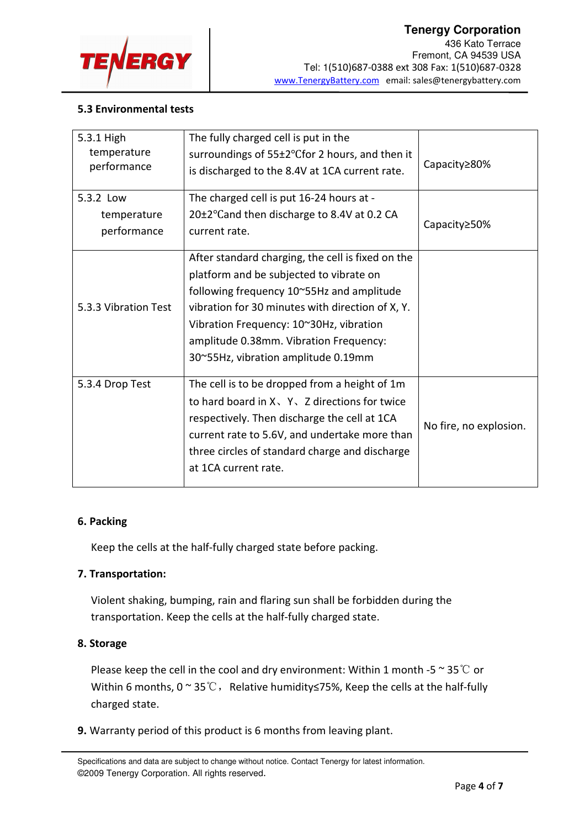

## 5.3 Environmental tests

| 5.3.1 High           | The fully charged cell is put in the              |                        |
|----------------------|---------------------------------------------------|------------------------|
| temperature          | surroundings of 55±2°Cfor 2 hours, and then it    |                        |
| performance          | is discharged to the 8.4V at 1CA current rate.    | Capacity≥80%           |
|                      |                                                   |                        |
| 5.3.2 Low            | The charged cell is put 16-24 hours at -          |                        |
| temperature          | 20±2°Cand then discharge to 8.4V at 0.2 CA        | Capacity≥50%           |
| performance          | current rate.                                     |                        |
|                      | After standard charging, the cell is fixed on the |                        |
|                      |                                                   |                        |
|                      | platform and be subjected to vibrate on           |                        |
|                      | following frequency 10~55Hz and amplitude         |                        |
| 5.3.3 Vibration Test | vibration for 30 minutes with direction of X, Y.  |                        |
|                      | Vibration Frequency: 10~30Hz, vibration           |                        |
|                      | amplitude 0.38mm. Vibration Frequency:            |                        |
|                      | 30~55Hz, vibration amplitude 0.19mm               |                        |
| 5.3.4 Drop Test      | The cell is to be dropped from a height of 1m     |                        |
|                      |                                                   |                        |
|                      | to hard board in X, Y, Z directions for twice     |                        |
|                      | respectively. Then discharge the cell at 1CA      | No fire, no explosion. |
|                      | current rate to 5.6V, and undertake more than     |                        |
|                      | three circles of standard charge and discharge    |                        |
|                      | at 1CA current rate.                              |                        |
|                      |                                                   |                        |

### 6. Packing

Keep the cells at the half-fully charged state before packing.

# 7. Transportation:

Violent shaking, bumping, rain and flaring sun shall be forbidden during the transportation. Keep the cells at the half-fully charged state.

# 8. Storage

Please keep the cell in the cool and dry environment: Within 1 month -5  $\sim$  35 °C or Within 6 months, 0  $\sim$  35 °C, Relative humidity≤75%, Keep the cells at the half-fully charged state.

9. Warranty period of this product is 6 months from leaving plant.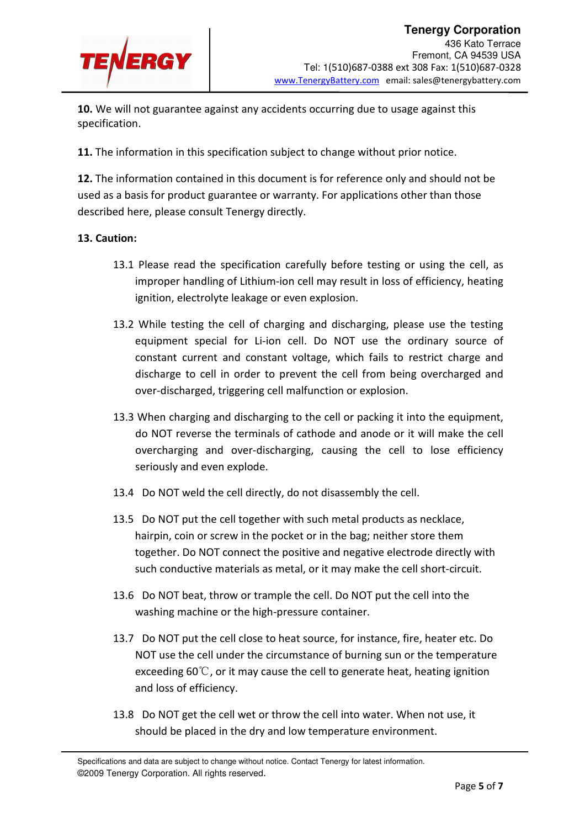

10. We will not guarantee against any accidents occurring due to usage against this specification.

11. The information in this specification subject to change without prior notice.

12. The information contained in this document is for reference only and should not be used as a basis for product guarantee or warranty. For applications other than those described here, please consult Tenergy directly.

### 13. Caution:

- 13.1 Please read the specification carefully before testing or using the cell, as improper handling of Lithium-ion cell may result in loss of efficiency, heating ignition, electrolyte leakage or even explosion.
- 13.2 While testing the cell of charging and discharging, please use the testing equipment special for Li-ion cell. Do NOT use the ordinary source of constant current and constant voltage, which fails to restrict charge and discharge to cell in order to prevent the cell from being overcharged and over-discharged, triggering cell malfunction or explosion.
- 13.3 When charging and discharging to the cell or packing it into the equipment, do NOT reverse the terminals of cathode and anode or it will make the cell overcharging and over-discharging, causing the cell to lose efficiency seriously and even explode.
- 13.4 Do NOT weld the cell directly, do not disassembly the cell.
- 13.5 Do NOT put the cell together with such metal products as necklace, hairpin, coin or screw in the pocket or in the bag; neither store them together. Do NOT connect the positive and negative electrode directly with such conductive materials as metal, or it may make the cell short-circuit.
- 13.6 Do NOT beat, throw or trample the cell. Do NOT put the cell into the washing machine or the high-pressure container.
- 13.7 Do NOT put the cell close to heat source, for instance, fire, heater etc. Do NOT use the cell under the circumstance of burning sun or the temperature exceeding 60 $\degree$ C, or it may cause the cell to generate heat, heating ignition and loss of efficiency.
- 13.8 Do NOT get the cell wet or throw the cell into water. When not use, it should be placed in the dry and low temperature environment.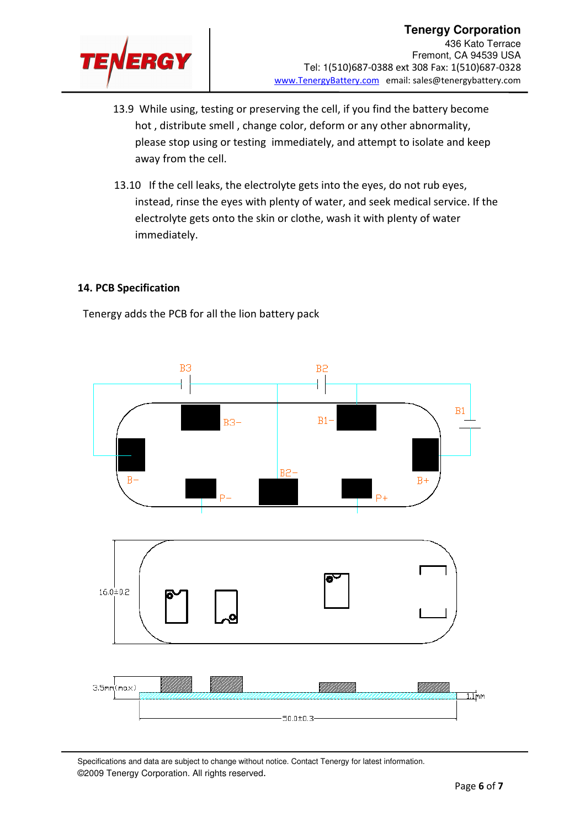

- 13.9 While using, testing or preserving the cell, if you find the battery become hot , distribute smell , change color, deform or any other abnormality, please stop using or testing immediately, and attempt to isolate and keep away from the cell.
- 13.10 If the cell leaks, the electrolyte gets into the eyes, do not rub eyes, instead, rinse the eyes with plenty of water, and seek medical service. If the electrolyte gets onto the skin or clothe, wash it with plenty of water immediately.

### 14. PCB Specification

Tenergy adds the PCB for all the lion battery pack